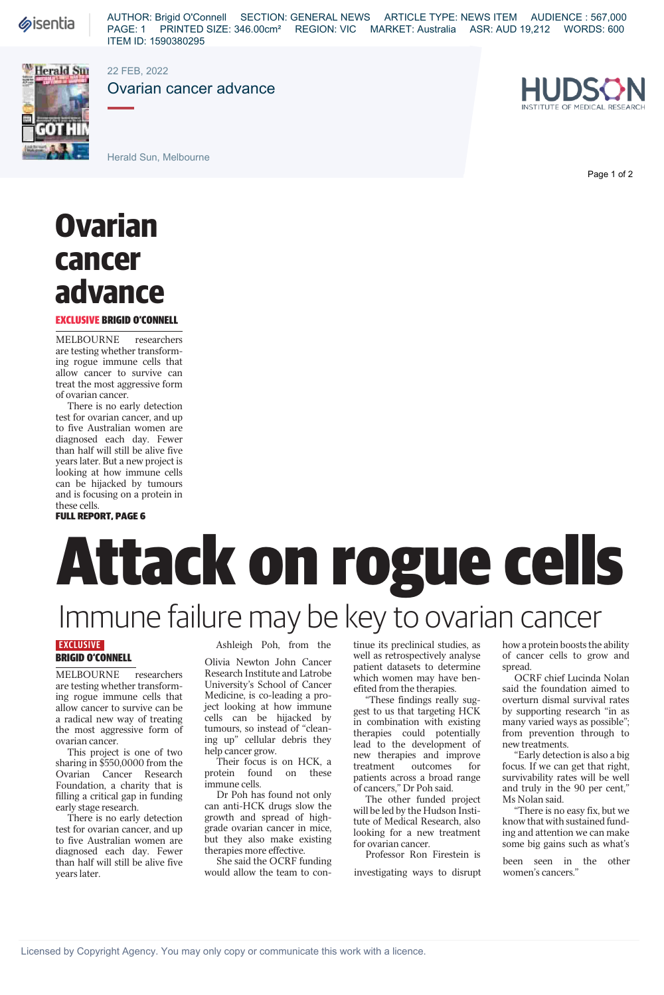# **Ovarian cancer advance**

### EXCLUSIVE BRIGID O'CONNELL

MELBOURNE researchers are testing whether transforming rogue immune cells that allow cancer to survive can treat the most aggressive form of ovarian cancer.

There is no early detection test for ovarian cancer, and up to five Australian women are diagnosed each day. Fewer than half will still be alive five years later. But a new project is looking at how immune cells can be hijacked by tumours and is focusing on a protein in these cells.<br>**FULL REPORT. PAGE 6** 

## Immune failure may be key to ovarian cancer Immune failure may be key to ovarian cancer

## **EXCLUSIVE** BRIGID O'CONNELL

MELBOURNE researchers are testing whether transforming rogue immune cells that allow cancer to survive can be a radical new way of treating the most aggressive form of ovarian cancer.

This project is one of two sharing in \$550,0000 from the Ovarian Cancer Research Foundation, a charity that is filling a critical gap in funding early stage research.

There is no early detection test for ovarian cancer, and up to five Australian women are diagnosed each day. Fewer than half will still be alive five years later.

Ashleigh Poh, from the

Olivia Newton John Cancer Research Institute and Latrobe University's School of Cancer Medicine, is co-leading a project looking at how immune cells can be hijacked by tumours, so instead of "cleaning up" cellular debris they help cancer grow.

Their focus is on HCK, a protein found on these immune cells.

Dr Poh has found not only can anti-HCK drugs slow the growth and spread of highgrade ovarian cancer in mice, but they also make existing therapies more effective.

She said the OCRF funding would allow the team to continue its preclinical studies, as well as retrospectively analyse patient datasets to determine which women may have benefited from the therapies.

"These findings really suggest to us that targeting HCK in combination with existing therapies could potentially lead to the development of new therapies and improve<br>treatment outcomes for outcomes for patients across a broad range of cancers," Dr Poh said.

The other funded project will be led by the Hudson Institute of Medical Research, also looking for a new treatment for ovarian cancer.

Professor Ron Firestein is

investigating ways to disrupt

how a protein boosts the ability of cancer cells to grow and spread.

OCRF chief Lucinda Nolan said the foundation aimed to overturn dismal survival rates by supporting research "in as many varied ways as possible"; from prevention through to new treatments.

"Early detection is also a big focus. If we can get that right, survivability rates will be well and truly in the 90 per cent," Ms Nolan said.

"There is no easy fix, but we know that with sustained funding and attention we can make some big gains such as what's

been seen in the other women's cancers."